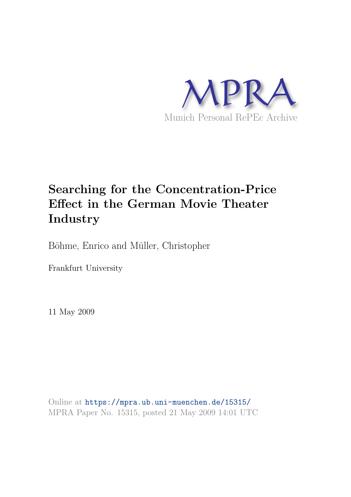

# **Searching for the Concentration-Price Effect in the German Movie Theater Industry**

Böhme, Enrico and Müller, Christopher

Frankfurt University

11 May 2009

Online at https://mpra.ub.uni-muenchen.de/15315/ MPRA Paper No. 15315, posted 21 May 2009 14:01 UTC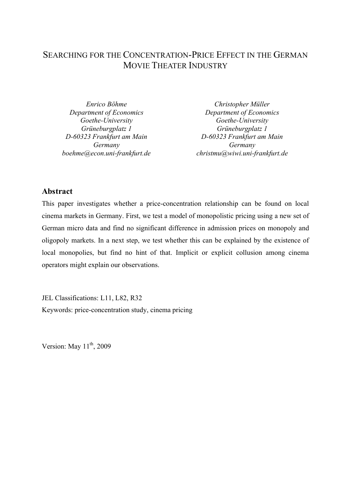# SEARCHING FOR THE CONCENTRATION-PRICE EFFECT IN THE GERMAN MOVIE THEATER INDUSTRY

Enrico Böhme Department of Economics Goethe-University Grüneburgplatz 1 D-60323 Frankfurt am Main Germany boehme@econ.uni-frankfurt.de

Christopher Müller Department of Economics Goethe-University Grüneburgplatz 1 D-60323 Frankfurt am Main Germany christmu@wiwi.uni-frankfurt.de

# Abstract

This paper investigates whether a price-concentration relationship can be found on local cinema markets in Germany. First, we test a model of monopolistic pricing using a new set of German micro data and find no significant difference in admission prices on monopoly and oligopoly markets. In a next step, we test whether this can be explained by the existence of local monopolies, but find no hint of that. Implicit or explicit collusion among cinema operators might explain our observations.

JEL Classifications: L11, L82, R32 Keywords: price-concentration study, cinema pricing

Version: May  $11^{th}$ , 2009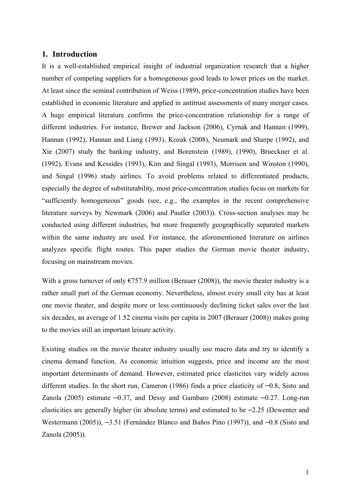## 1. Introduction

It is a well-established empirical insight of industrial organization research that a higher number of competing suppliers for a homogeneous good leads to lower prices on the market. At least since the seminal contribution of Weiss (1989), price-concentration studies have been established in economic literature and applied in antitrust assessments of many merger cases. A huge empirical literature confirms the price-concentration relationship for a range of different industries. For instance, Brewer and Jackson (2006), Cyrnak and Hannan (1999), Hannan (1992), Hannan and Liang (1993), Kozak (2008), Neumark and Sharpe (1992), and Xie (2007) study the banking industry, and Borenstein (1989), (1990), Brueckner et al. (1992), Evans and Kessides (1993), Kim and Singal (1993), Morrison and Winston (1990), and Singal (1996) study airlines. To avoid problems related to differentiated products, especially the degree of substitutability, most price-concentration studies focus on markets for "sufficiently homogeneous" goods (see, e.g., the examples in the recent comprehensive literature surveys by Newmark (2006) and Pautler (2003)). Cross-section analyses may be conducted using different industries, but more frequently geographically separated markets within the same industry are used. For instance, the aforementioned literature on airlines analyzes specific flight routes. This paper studies the German movie theater industry, focusing on mainstream movies.

With a gross turnover of only  $\epsilon$ 757.9 million (Berauer (2008)), the movie theater industry is a rather small part of the German economy. Nevertheless, almost every small city has at least one movie theater, and despite more or less continuously declining ticket sales over the last six decades, an average of 1.52 cinema visits per capita in 2007 (Berauer (2008)) makes going to the movies still an important leisure activity.

Existing studies on the movie theater industry usually use macro data and try to identify a cinema demand function. As economic intuition suggests, price and income are the most important determinants of demand. However, estimated price elasticites vary widely across different studies. In the short run, Cameron (1986) finds a price elasticity of  $-0.8$ , Sisto and Zanola (2005) estimate  $-0.37$ , and Dessy and Gambaro (2008) estimate  $-0.27$ . Long-run elasticities are generally higher (in absolute terms) and estimated to be  $-2.25$  (Dewenter and Westermann (2005)),  $-3.51$  (Fernández Blanco and Baños Pino (1997)), and  $-0.8$  (Sisto and Zanola (2005)).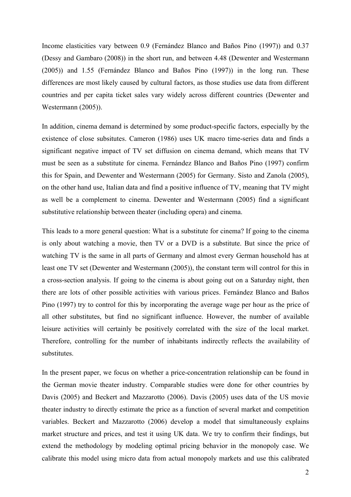Income elasticities vary between 0.9 (Fernández Blanco and Baños Pino (1997)) and 0.37 (Dessy and Gambaro (2008)) in the short run, and between 4.48 (Dewenter and Westermann (2005)) and 1.55 (Fernández Blanco and Baños Pino (1997)) in the long run. These differences are most likely caused by cultural factors, as those studies use data from different countries and per capita ticket sales vary widely across different countries (Dewenter and Westermann (2005)).

In addition, cinema demand is determined by some product-specific factors, especially by the existence of close subsitutes. Cameron (1986) uses UK macro time-series data and finds a significant negative impact of TV set diffusion on cinema demand, which means that TV must be seen as a substitute for cinema. Fernández Blanco and Baños Pino (1997) confirm this for Spain, and Dewenter and Westermann (2005) for Germany. Sisto and Zanola (2005), on the other hand use, Italian data and find a positive influence of TV, meaning that TV might as well be a complement to cinema. Dewenter and Westermann (2005) find a significant substitutive relationship between theater (including opera) and cinema.

This leads to a more general question: What is a substitute for cinema? If going to the cinema is only about watching a movie, then TV or a DVD is a substitute. But since the price of watching TV is the same in all parts of Germany and almost every German household has at least one TV set (Dewenter and Westermann (2005)), the constant term will control for this in a cross-section analysis. If going to the cinema is about going out on a Saturday night, then there are lots of other possible activities with various prices. Fernández Blanco and Baños Pino (1997) try to control for this by incorporating the average wage per hour as the price of all other substitutes, but find no significant influence. However, the number of available leisure activities will certainly be positively correlated with the size of the local market. Therefore, controlling for the number of inhabitants indirectly reflects the availability of substitutes.

In the present paper, we focus on whether a price-concentration relationship can be found in the German movie theater industry. Comparable studies were done for other countries by Davis (2005) and Beckert and Mazzarotto (2006). Davis (2005) uses data of the US movie theater industry to directly estimate the price as a function of several market and competition variables. Beckert and Mazzarotto (2006) develop a model that simultaneously explains market structure and prices, and test it using UK data. We try to confirm their findings, but extend the methodology by modeling optimal pricing behavior in the monopoly case. We calibrate this model using micro data from actual monopoly markets and use this calibrated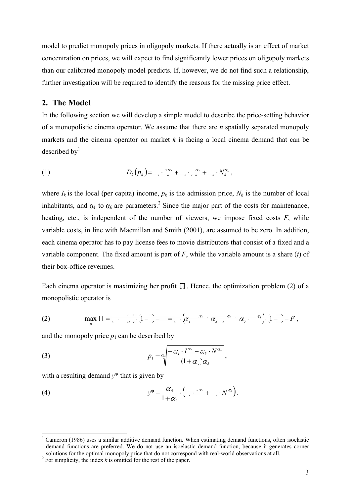model to predict monopoly prices in oligopoly markets. If there actually is an effect of market concentration on prices, we will expect to find significantly lower prices on oligopoly markets than our calibrated monopoly model predicts. If, however, we do not find such a relationship, further investigation will be required to identify the reasons for the missing price effect.

# 2. The Model

In the following section we will develop a simple model to describe the price-setting behavior of a monopolistic cinema operator. We assume that there are  $n$  spatially separated monopoly markets and the cinema operator on market  $k$  is facing a local cinema demand that can be described by $<sup>1</sup>$ </sup>

$$
(1) \tD_k(p_k) = \tbinom{\cdots}{k} + \tbinom{\cdots}{k} + \tbinom{\cdots}{k} + \tbinom{\cdots}{k},
$$

where  $I_k$  is the local (per capita) income,  $p_k$  is the admission price,  $N_k$  is the number of local inhabitants, and  $\alpha_1$  to  $\alpha_6$  are parameters.<sup>2</sup> Since the major part of the costs for maintenance, heating, etc., is independent of the number of viewers, we impose fixed costs  $F$ , while variable costs, in line with Macmillan and Smith (2001), are assumed to be zero. In addition, each cinema operator has to pay license fees to movie distributors that consist of a fixed and a variable component. The fixed amount is part of  $F$ , while the variable amount is a share (t) of their box-office revenues.

Each cinema operator is maximizing her profit  $\Pi$ . Hence, the optimization problem (2) of a monopolistic operator is

(2) p D p t F p I p N t F p max 1 1 2 4 6 1 3 5 ,

and the monopoly price  $p_1$  can be described by

(3) 
$$
p_1 = \alpha \sqrt{\frac{-\alpha_1 \cdot I^{\alpha_2} - \alpha_5 \cdot N^{\alpha_6}}{(1 + \alpha_4)\alpha_3}},
$$

with a resulting demand  $y^*$  that is given by

(4) 
$$
y^* = \frac{\alpha_4}{1 + \alpha_4} \cdot \left( \dots \cdot \dots \cdot X^{\alpha_s} \right).
$$

<sup>&</sup>lt;sup>1</sup> Cameron (1986) uses a similar additive demand function. When estimating demand functions, often isoelastic demand functions are preferred. We do not use an isoelastic demand function, because it generates corner solutions for the optimal monopoly price that do not correspond with real-world observations at all.

<sup>&</sup>lt;sup>2</sup> For simplicity, the index  $k$  is omitted for the rest of the paper.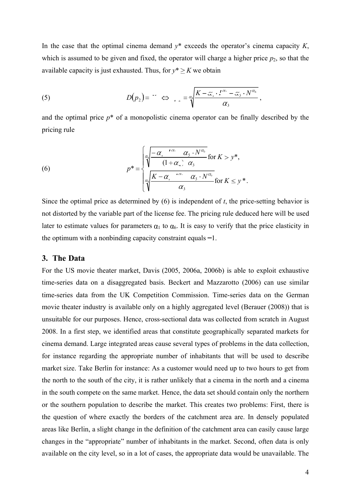In the case that the optimal cinema demand  $y^*$  exceeds the operator's cinema capacity K, which is assumed to be given and fixed, the operator will charge a higher price  $p_2$ , so that the available capacity is just exhausted. Thus, for  $y^* \geq K$  we obtain

(5) 
$$
D(p_2) = r \Leftrightarrow \int_{\alpha_2} = \frac{\alpha_1}{\sqrt[3]{\frac{K - \alpha_1 \cdot I^{\alpha_1} - \alpha_2 \cdot N^{\alpha_3}}{\alpha_3}}}{\sigma_3},
$$

and the optimal price  $p^*$  of a monopolistic cinema operator can be finally described by the pricing rule

(6) 
$$
p^* = \begin{cases} \frac{\alpha_1 - \alpha_1^{r\alpha_1} \alpha_3 \cdot N^{\alpha_5}}{\left(1 + \alpha_1 \right) \alpha_3} \text{ for } K > y^*, \\ \frac{\alpha_1}{\sqrt{\frac{K - \alpha_1^{r\alpha_1} \alpha_5 \cdot N^{\alpha_5}}{\alpha_3}}} \text{ for } K \leq y^*. \end{cases}
$$

Since the optimal price as determined by  $(6)$  is independent of t, the price-setting behavior is not distorted by the variable part of the license fee. The pricing rule deduced here will be used later to estimate values for parameters  $\alpha_1$  to  $\alpha_6$ . It is easy to verify that the price elasticity in the optimum with a nonbinding capacity constraint equals  $-1$ .

# 3. The Data

For the US movie theater market, Davis (2005, 2006a, 2006b) is able to exploit exhaustive time-series data on a disaggregated basis. Beckert and Mazzarotto (2006) can use similar time-series data from the UK Competition Commission. Time-series data on the German movie theater industry is available only on a highly aggregated level (Berauer (2008)) that is unsuitable for our purposes. Hence, cross-sectional data was collected from scratch in August 2008. In a first step, we identified areas that constitute geographically separated markets for cinema demand. Large integrated areas cause several types of problems in the data collection, for instance regarding the appropriate number of inhabitants that will be used to describe market size. Take Berlin for instance: As a customer would need up to two hours to get from the north to the south of the city, it is rather unlikely that a cinema in the north and a cinema in the south compete on the same market. Hence, the data set should contain only the northern or the southern population to describe the market. This creates two problems: First, there is the question of where exactly the borders of the catchment area are. In densely populated areas like Berlin, a slight change in the definition of the catchment area can easily cause large changes in the "appropriate" number of inhabitants in the market. Second, often data is only available on the city level, so in a lot of cases, the appropriate data would be unavailable. The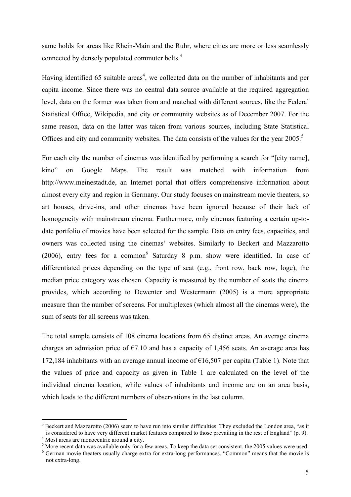same holds for areas like Rhein-Main and the Ruhr, where cities are more or less seamlessly connected by densely populated commuter belts.<sup>3</sup>

Having identified 65 suitable areas<sup>4</sup>, we collected data on the number of inhabitants and per capita income. Since there was no central data source available at the required aggregation level, data on the former was taken from and matched with different sources, like the Federal Statistical Office, Wikipedia, and city or community websites as of December 2007. For the same reason, data on the latter was taken from various sources, including State Statistical Offices and city and community websites. The data consists of the values for the year 2005.<sup>5</sup>

For each city the number of cinemas was identified by performing a search for "[city name], kino" on Google Maps. The result was matched with information from http://www.meinestadt.de, an Internet portal that offers comprehensive information about almost every city and region in Germany. Our study focuses on mainstream movie theaters, so art houses, drive-ins, and other cinemas have been ignored because of their lack of homogeneity with mainstream cinema. Furthermore, only cinemas featuring a certain up-todate portfolio of movies have been selected for the sample. Data on entry fees, capacities, and owners was collected using the cinemas' websites. Similarly to Beckert and Mazzarotto  $(2006)$ , entry fees for a common<sup>6</sup> Saturday 8 p.m. show were identified. In case of differentiated prices depending on the type of seat (e.g., front row, back row, loge), the median price category was chosen. Capacity is measured by the number of seats the cinema provides, which according to Dewenter and Westermann (2005) is a more appropriate measure than the number of screens. For multiplexes (which almost all the cinemas were), the sum of seats for all screens was taken.

The total sample consists of 108 cinema locations from 65 distinct areas. An average cinema charges an admission price of  $\epsilon$ 7.10 and has a capacity of 1,456 seats. An average area has 172,184 inhabitants with an average annual income of  $\epsilon$ 16,507 per capita (Table 1). Note that the values of price and capacity as given in Table 1 are calculated on the level of the individual cinema location, while values of inhabitants and income are on an area basis, which leads to the different numbers of observations in the last column.

í  $3$  Beckert and Mazzarotto (2006) seem to have run into similar difficulties. They excluded the London area, "as it is considered to have very different market features compared to those prevailing in the rest of England" (p. 9).

<sup>4</sup> Most areas are monocentric around a city.

 $<sup>5</sup>$  More recent data was available only for a few areas. To keep the data set consistent, the 2005 values were used.</sup>

<sup>&</sup>lt;sup>6</sup> German movie theaters usually charge extra for extra-long performances. "Common" means that the movie is not extra-long.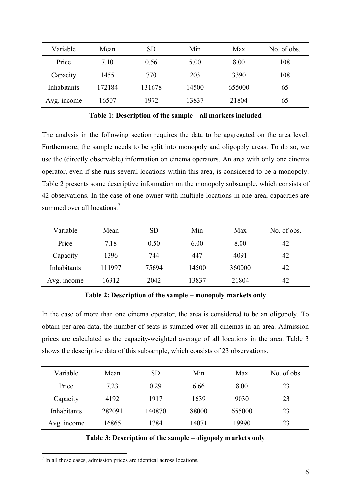| Variable    | Mean   | <b>SD</b> | Min   | Max    | No. of obs. |
|-------------|--------|-----------|-------|--------|-------------|
| Price       | 7.10   | 0.56      | 5.00  | 8.00   | 108         |
| Capacity    | 1455   | 770       | 203   | 3390   | 108         |
| Inhabitants | 172184 | 131678    | 14500 | 655000 | 65          |
| Avg. income | 16507  | 1972      | 13837 | 21804  | 65          |

Table 1: Description of the sample – all markets included

The analysis in the following section requires the data to be aggregated on the area level. Furthermore, the sample needs to be split into monopoly and oligopoly areas. To do so, we use the (directly observable) information on cinema operators. An area with only one cinema operator, even if she runs several locations within this area, is considered to be a monopoly. Table 2 presents some descriptive information on the monopoly subsample, which consists of 42 observations. In the case of one owner with multiple locations in one area, capacities are summed over all locations.<sup>7</sup>

| Variable    | Mean   | <b>SD</b> | Min   | Max    | No. of obs. |
|-------------|--------|-----------|-------|--------|-------------|
| Price       | 7.18   | 0.50      | 6.00  | 8.00   | 42          |
| Capacity    | 1396   | 744       | 447   | 4091   | 42          |
| Inhabitants | 111997 | 75694     | 14500 | 360000 | 42          |
| Avg. income | 16312  | 2042      | 13837 | 21804  | 42          |

Table 2: Description of the sample – monopoly markets only

In the case of more than one cinema operator, the area is considered to be an oligopoly. To obtain per area data, the number of seats is summed over all cinemas in an area. Admission prices are calculated as the capacity-weighted average of all locations in the area. Table 3 shows the descriptive data of this subsample, which consists of 23 observations.

| Variable    | Mean   | <b>SD</b> | Min   | Max    | No. of obs. |
|-------------|--------|-----------|-------|--------|-------------|
| Price       | 7.23   | 0.29      | 6.66  | 8.00   | 23          |
| Capacity    | 4192   | 1917      | 1639  | 9030   | 23          |
| Inhabitants | 282091 | 140870    | 88000 | 655000 | 23          |
| Avg. income | 16865  | 1784      | 14071 | 19990  | 23          |

### Table 3: Description of the sample – oligopoly markets only

 7 In all those cases, admission prices are identical across locations.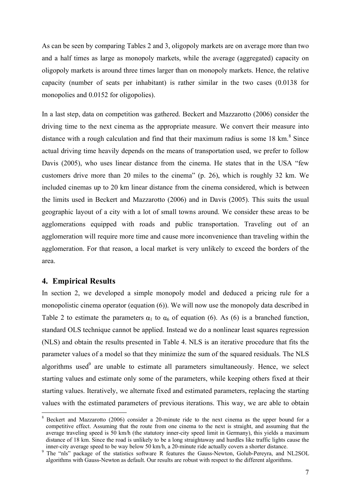As can be seen by comparing Tables 2 and 3, oligopoly markets are on average more than two and a half times as large as monopoly markets, while the average (aggregated) capacity on oligopoly markets is around three times larger than on monopoly markets. Hence, the relative capacity (number of seats per inhabitant) is rather similar in the two cases (0.0138 for monopolies and 0.0152 for oligopolies).

In a last step, data on competition was gathered. Beckert and Mazzarotto (2006) consider the driving time to the next cinema as the appropriate measure. We convert their measure into distance with a rough calculation and find that their maximum radius is some  $18 \text{ km}^8$  Since actual driving time heavily depends on the means of transportation used, we prefer to follow Davis (2005), who uses linear distance from the cinema. He states that in the USA "few customers drive more than 20 miles to the cinema" (p. 26), which is roughly 32 km. We included cinemas up to 20 km linear distance from the cinema considered, which is between the limits used in Beckert and Mazzarotto (2006) and in Davis (2005). This suits the usual geographic layout of a city with a lot of small towns around. We consider these areas to be agglomerations equipped with roads and public transportation. Traveling out of an agglomeration will require more time and cause more inconvenience than traveling within the agglomeration. For that reason, a local market is very unlikely to exceed the borders of the area.

# 4. Empirical Results

 $\overline{a}$ 

In section 2, we developed a simple monopoly model and deduced a pricing rule for a monopolistic cinema operator (equation (6)). We will now use the monopoly data described in Table 2 to estimate the parameters  $\alpha_1$  to  $\alpha_6$  of equation (6). As (6) is a branched function, standard OLS technique cannot be applied. Instead we do a nonlinear least squares regression (NLS) and obtain the results presented in Table 4. NLS is an iterative procedure that fits the parameter values of a model so that they minimize the sum of the squared residuals. The NLS algorithms used<sup>9</sup> are unable to estimate all parameters simultaneously. Hence, we select starting values and estimate only some of the parameters, while keeping others fixed at their starting values. Iteratively, we alternate fixed and estimated parameters, replacing the starting values with the estimated parameters of previous iterations. This way, we are able to obtain

<sup>8</sup> Beckert and Mazzarotto (2006) consider a 20-minute ride to the next cinema as the upper bound for a competitive effect. Assuming that the route from one cinema to the next is straight, and assuming that the average traveling speed is 50 km/h (the statutory inner-city speed limit in Germany), this yields a maximum distance of 18 km. Since the road is unlikely to be a long straightaway and hurdles like traffic lights cause the inner-city average speed to be way below 50 km/h, a 20-minute ride actually covers a shorter distance.

<sup>9</sup> The "nls" package of the statistics software R features the Gauss-Newton, Golub-Pereyra, and NL2SOL algorithms with Gauss-Newton as default. Our results are robust with respect to the different algorithms.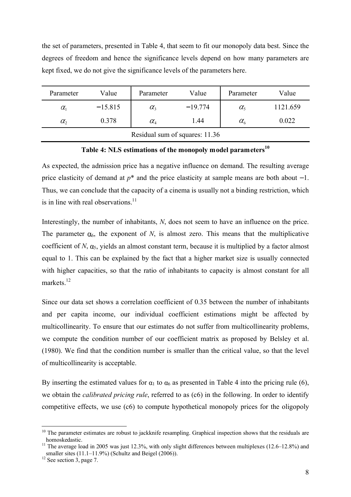the set of parameters, presented in Table 4, that seem to fit our monopoly data best. Since the degrees of freedom and hence the significance levels depend on how many parameters are kept fixed, we do not give the significance levels of the parameters here.

| Parameter    | Value     | Parameter                       | Value     | Parameter            | Value    |
|--------------|-----------|---------------------------------|-----------|----------------------|----------|
| $\alpha_{1}$ | $-15.815$ | $\alpha_{3}$                    | $-19.774$ | $\alpha_{\varsigma}$ | 1121.659 |
| $\alpha$ ,   | 0.378     | $\alpha_{\scriptscriptstyle 4}$ | 1.44      | $\alpha_{\kappa}$    | 0.022    |
|              |           | Residual sum of squares: 11.36  |           |                      |          |

# Table 4: NLS estimations of the monopoly model parameters $10$

As expected, the admission price has a negative influence on demand. The resulting average price elasticity of demand at  $p^*$  and the price elasticity at sample means are both about  $-1$ . Thus, we can conclude that the capacity of a cinema is usually not a binding restriction, which is in line with real observations.<sup>11</sup>

Interestingly, the number of inhabitants, N, does not seem to have an influence on the price. The parameter  $\alpha_6$ , the exponent of N, is almost zero. This means that the multiplicative coefficient of N,  $\alpha_5$ , yields an almost constant term, because it is multiplied by a factor almost equal to 1. This can be explained by the fact that a higher market size is usually connected with higher capacities, so that the ratio of inhabitants to capacity is almost constant for all markets.<sup>12</sup>

Since our data set shows a correlation coefficient of 0.35 between the number of inhabitants and per capita income, our individual coefficient estimations might be affected by multicollinearity. To ensure that our estimates do not suffer from multicollinearity problems, we compute the condition number of our coefficient matrix as proposed by Belsley et al. (1980). We find that the condition number is smaller than the critical value, so that the level of multicollinearity is acceptable.

By inserting the estimated values for  $\alpha_1$  to  $\alpha_6$  as presented in Table 4 into the pricing rule (6), we obtain the *calibrated pricing rule*, referred to as (c6) in the following. In order to identify competitive effects, we use (c6) to compute hypothetical monopoly prices for the oligopoly

 $\overline{a}$ 

<sup>&</sup>lt;sup>10</sup> The parameter estimates are robust to jackknife resampling. Graphical inspection shows that the residuals are homoskedastic.

<sup>&</sup>lt;sup>11</sup> The average load in 2005 was just 12.3%, with only slight differences between multiplexes (12.6–12.8%) and smaller sites (11.1–11.9%) (Schultz and Beigel (2006)).

 $12$  See section 3, page 7.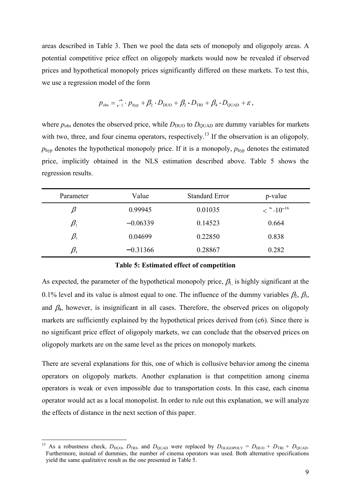areas described in Table 3. Then we pool the data sets of monopoly and oligopoly areas. A potential competitive price effect on oligopoly markets would now be revealed if observed prices and hypothetical monopoly prices significantly differed on these markets. To test this, we use a regression model of the form

$$
p_{\rm obs} = \frac{1}{1} \cdot p_{\rm hyp} + \beta_2 \cdot D_{\rm DUO} + \beta_2 \cdot D_{\rm TRI} + \beta_4 \cdot D_{\rm QUAD} + \varepsilon,
$$

where  $p_{obs}$  denotes the observed price, while  $D_{\text{DUO}}$  to  $D_{\text{QUAD}}$  are dummy variables for markets with two, three, and four cinema operators, respectively.<sup>13</sup> If the observation is an oligopoly,  $p_{\text{hvp}}$  denotes the hypothetical monopoly price. If it is a monopoly,  $p_{\text{hvp}}$  denotes the estimated price, implicitly obtained in the NLS estimation described above. Table 5 shows the regression results.

| Parameter | Value      | <b>Standard Error</b> | p-value                       |
|-----------|------------|-----------------------|-------------------------------|
|           | 0.99945    | 0.01035               | $<$ $\cdot$ 10 <sup>-16</sup> |
| $\beta,$  | $-0.06339$ | 0.14523               | 0.664                         |
| $\beta,$  | 0.04699    | 0.22850               | 0.838                         |
|           | $-0.31366$ | 0.28867               | 0.282                         |

#### Table 5: Estimated effect of competition

As expected, the parameter of the hypothetical monopoly price,  $\beta_{\rm L}$  is highly significant at the 0.1% level and its value is almost equal to one. The influence of the dummy variables  $\beta_2$ ,  $\beta_3$ , and  $\beta_4$ , however, is insignificant in all cases. Therefore, the observed prices on oligopoly markets are sufficiently explained by the hypothetical prices derived from (c6). Since there is no significant price effect of oligopoly markets, we can conclude that the observed prices on oligopoly markets are on the same level as the prices on monopoly markets.

There are several explanations for this, one of which is collusive behavior among the cinema operators on oligopoly markets. Another explanation is that competition among cinema operators is weak or even impossible due to transportation costs. In this case, each cinema operator would act as a local monopolist. In order to rule out this explanation, we will analyze the effects of distance in the next section of this paper.

 $\overline{a}$ 

<sup>&</sup>lt;sup>13</sup> As a robustness check,  $D_{\text{DUO}}$ ,  $D_{\text{TRI}}$ , and  $D_{\text{QUAD}}$  were replaced by  $D_{\text{OLIGOPOLY}} = D_{\text{DUO}} + D_{\text{TRI}} + D_{\text{QUAD}}$ . Furthermore, instead of dummies, the number of cinema operators was used. Both alternative specifications yield the same qualitative result as the one presented in Table 5.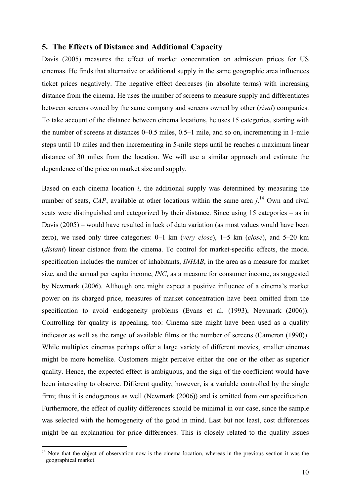#### 5. The Effects of Distance and Additional Capacity

Davis (2005) measures the effect of market concentration on admission prices for US cinemas. He finds that alternative or additional supply in the same geographic area influences ticket prices negatively. The negative effect decreases (in absolute terms) with increasing distance from the cinema. He uses the number of screens to measure supply and differentiates between screens owned by the same company and screens owned by other (rival) companies. To take account of the distance between cinema locations, he uses 15 categories, starting with the number of screens at distances 0–0.5 miles, 0.5–1 mile, and so on, incrementing in 1-mile steps until 10 miles and then incrementing in 5-mile steps until he reaches a maximum linear distance of 30 miles from the location. We will use a similar approach and estimate the dependence of the price on market size and supply.

Based on each cinema location i, the additional supply was determined by measuring the number of seats, CAP, available at other locations within the same area  $j$ .<sup>14</sup> Own and rival seats were distinguished and categorized by their distance. Since using 15 categories – as in Davis (2005) – would have resulted in lack of data variation (as most values would have been zero), we used only three categories: 0–1 km (very close), 1–5 km (close), and 5–20 km (*distant*) linear distance from the cinema. To control for market-specific effects, the model specification includes the number of inhabitants, *INHAB*, in the area as a measure for market size, and the annual per capita income, INC, as a measure for consumer income, as suggested by Newmark (2006). Although one might expect a positive influence of a cinema's market power on its charged price, measures of market concentration have been omitted from the specification to avoid endogeneity problems (Evans et al. (1993), Newmark (2006)). Controlling for quality is appealing, too: Cinema size might have been used as a quality indicator as well as the range of available films or the number of screens (Cameron (1990)). While multiplex cinemas perhaps offer a large variety of different movies, smaller cinemas might be more homelike. Customers might perceive either the one or the other as superior quality. Hence, the expected effect is ambiguous, and the sign of the coefficient would have been interesting to observe. Different quality, however, is a variable controlled by the single firm; thus it is endogenous as well (Newmark (2006)) and is omitted from our specification. Furthermore, the effect of quality differences should be minimal in our case, since the sample was selected with the homogeneity of the good in mind. Last but not least, cost differences might be an explanation for price differences. This is closely related to the quality issues

 $\overline{a}$ 

<sup>&</sup>lt;sup>14</sup> Note that the object of observation now is the cinema location, whereas in the previous section it was the geographical market.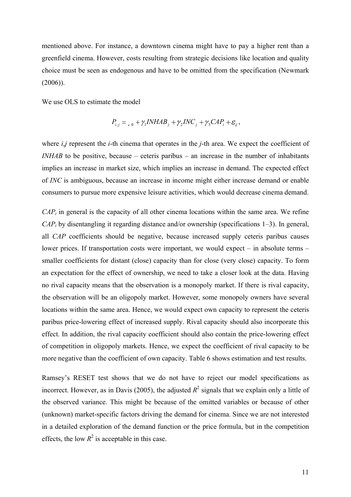mentioned above. For instance, a downtown cinema might have to pay a higher rent than a greenfield cinema. However, costs resulting from strategic decisions like location and quality choice must be seen as endogenous and have to be omitted from the specification (Newmark (2006)).

We use OLS to estimate the model

$$
P_{i,j} = \frac{\rho}{\rho_0} + \frac{\gamma_1 I N H A B_j}{\rho_1} + \frac{\gamma_2 I N C_j}{\rho_2} + \frac{\gamma_3 C A P_i}{\rho_3} + \varepsilon_{ij},
$$

where  $i, j$  represent the *i*-th cinema that operates in the *j*-th area. We expect the coefficient of  $INHAB$  to be positive, because – ceteris paribus – an increase in the number of inhabitants implies an increase in market size, which implies an increase in demand. The expected effect of INC is ambiguous, because an increase in income might either increase demand or enable consumers to pursue more expensive leisure activities, which would decrease cinema demand.

 $CAP<sub>i</sub>$  in general is the capacity of all other cinema locations within the same area. We refine  $CAP<sub>i</sub>$  by disentangling it regarding distance and/or ownership (specifications 1–3). In general, all CAP coefficients should be negative, because increased supply ceteris paribus causes lower prices. If transportation costs were important, we would expect – in absolute terms – smaller coefficients for distant (close) capacity than for close (very close) capacity. To form an expectation for the effect of ownership, we need to take a closer look at the data. Having no rival capacity means that the observation is a monopoly market. If there is rival capacity, the observation will be an oligopoly market. However, some monopoly owners have several locations within the same area. Hence, we would expect own capacity to represent the ceteris paribus price-lowering effect of increased supply. Rival capacity should also incorporate this effect. In addition, the rival capacity coefficient should also contain the price-lowering effect of competition in oligopoly markets. Hence, we expect the coefficient of rival capacity to be more negative than the coefficient of own capacity. Table 6 shows estimation and test results.

Ramsey's RESET test shows that we do not have to reject our model specifications as incorrect. However, as in Davis (2005), the adjusted  $R^2$  signals that we explain only a little of the observed variance. This might be because of the omitted variables or because of other (unknown) market-specific factors driving the demand for cinema. Since we are not interested in a detailed exploration of the demand function or the price formula, but in the competition effects, the low  $R^2$  is acceptable in this case.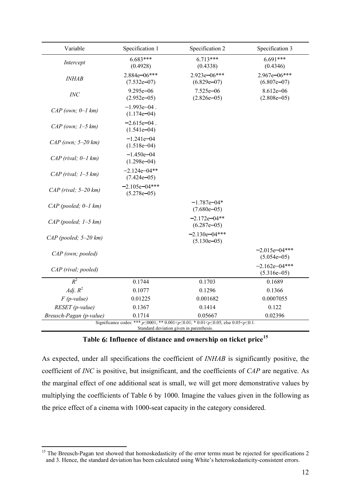| Variable                  | Specification 1                   | Specification 2                                                                                                                                                | Specification 3                    |
|---------------------------|-----------------------------------|----------------------------------------------------------------------------------------------------------------------------------------------------------------|------------------------------------|
| Intercept                 | $6.683***$<br>(0.4928)            | $6.713***$<br>(0.4338)                                                                                                                                         | $6.691***$<br>(0.4346)             |
| <b>INHAB</b>              | 2.884e-06***<br>$(7.532e-07)$     | 2.923e-06***<br>$(6.829e-07)$                                                                                                                                  | 2.967e-06***<br>$(6.807e-07)$      |
| INC                       | $9.295e - 06$<br>$(2.952e-05)$    | $7.525e - 06$<br>$(2.826e-05)$                                                                                                                                 | $8.612e - 06$<br>$(2.808e-05)$     |
| $CAP$ (own; $0-1$ km)     | $-1.993e-04$ .<br>$(1.174e-04)$   |                                                                                                                                                                |                                    |
| $CAP$ (own; $1-5$ km)     | $-2.615e-04$ .<br>$(1.541e-04)$   |                                                                                                                                                                |                                    |
| $CAP$ (own; $5-20$ km)    | $-1.241e - 04$<br>$(1.518e-04)$   |                                                                                                                                                                |                                    |
| $CAP$ (rival; $0-1$ km)   | $-1.450e - 04$<br>$(1.298e-04)$   |                                                                                                                                                                |                                    |
| $CAP$ (rival; $1-5 km$ )  | $-2.124e - 04**$<br>$(7.424e-05)$ |                                                                                                                                                                |                                    |
| $CAP$ (rival; $5-20$ km)  | $-2.105e-04***$<br>$(5.278e-05)$  |                                                                                                                                                                |                                    |
| $CAP$ (pooled; $0-1$ km)  |                                   | $-1.787e - 04*$<br>$(7.680e-05)$                                                                                                                               |                                    |
| $CAP$ (pooled; $1-5 km$ ) |                                   | $-2.172e-04**$<br>$(6.287e-05)$                                                                                                                                |                                    |
| $CAP$ (pooled; 5-20 km)   |                                   | $-2.130e-04***$<br>$(5.130e-05)$                                                                                                                               |                                    |
| CAP (own; pooled)         |                                   |                                                                                                                                                                | $-2.015e - 04***$<br>$(5.054e-05)$ |
| CAP (rival; pooled)       |                                   |                                                                                                                                                                | $-2.162e - 04***$<br>$(5.316e-05)$ |
| $R^2$                     | 0.1744                            | 0.1703                                                                                                                                                         | 0.1689                             |
| Adj. $R^2$                | 0.1077                            | 0.1296                                                                                                                                                         | 0.1366                             |
| $F$ (p-value)             | 0.01225                           | 0.001682                                                                                                                                                       | 0.0007055                          |
| RESET (p-value)           | 0.1367                            | 0.1414                                                                                                                                                         | 0.122                              |
| Breusch-Pagan (p-value)   | 0.1714                            | 0.05667                                                                                                                                                        | 0.02396                            |
|                           |                                   | Significance codes: *** $p \le 0001$ ; ** $0.001 < p \le 0.01$ ; * $0.01 < p \le 0.05$ ; else $0.05 < p \le 0.1$ .<br>Standard deviation given in parenthesis. |                                    |

# Table 6: Influence of distance and ownership on ticket price<sup>15</sup>

As expected, under all specifications the coefficient of *INHAB* is significantly positive, the coefficient of INC is positive, but insignificant, and the coefficients of CAP are negative. As the marginal effect of one additional seat is small, we will get more demonstrative values by multiplying the coefficients of Table 6 by 1000. Imagine the values given in the following as the price effect of a cinema with 1000-seat capacity in the category considered.

 $\overline{a}$ <sup>15</sup> The Breusch-Pagan test showed that homoskedasticity of the error terms must be rejected for specifications 2 and 3. Hence, the standard deviation has been calculated using White's heteroskedasticity-consistent errors.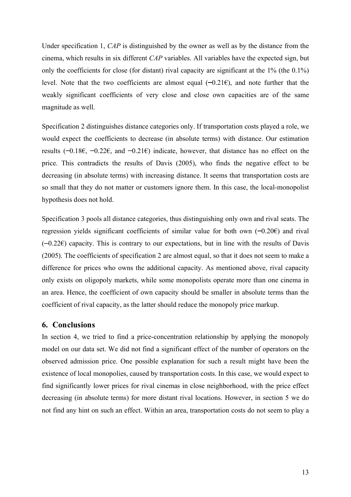Under specification 1, CAP is distinguished by the owner as well as by the distance from the cinema, which results in six different CAP variables. All variables have the expected sign, but only the coefficients for close (for distant) rival capacity are significant at the 1% (the 0.1%) level. Note that the two coefficients are almost equal  $(-0.21\epsilon)$ , and note further that the weakly significant coefficients of very close and close own capacities are of the same magnitude as well.

Specification 2 distinguishes distance categories only. If transportation costs played a role, we would expect the coefficients to decrease (in absolute terms) with distance. Our estimation results  $(-0.18\epsilon, -0.22\epsilon,$  and  $-0.21\epsilon)$  indicate, however, that distance has no effect on the price. This contradicts the results of Davis (2005), who finds the negative effect to be decreasing (in absolute terms) with increasing distance. It seems that transportation costs are so small that they do not matter or customers ignore them. In this case, the local-monopolist hypothesis does not hold.

Specification 3 pools all distance categories, thus distinguishing only own and rival seats. The regression yields significant coefficients of similar value for both own  $(-0.20\epsilon)$  and rival  $(-0.226)$  capacity. This is contrary to our expectations, but in line with the results of Davis (2005). The coefficients of specification 2 are almost equal, so that it does not seem to make a difference for prices who owns the additional capacity. As mentioned above, rival capacity only exists on oligopoly markets, while some monopolists operate more than one cinema in an area. Hence, the coefficient of own capacity should be smaller in absolute terms than the coefficient of rival capacity, as the latter should reduce the monopoly price markup.

#### 6. Conclusions

In section 4, we tried to find a price-concentration relationship by applying the monopoly model on our data set. We did not find a significant effect of the number of operators on the observed admission price. One possible explanation for such a result might have been the existence of local monopolies, caused by transportation costs. In this case, we would expect to find significantly lower prices for rival cinemas in close neighborhood, with the price effect decreasing (in absolute terms) for more distant rival locations. However, in section 5 we do not find any hint on such an effect. Within an area, transportation costs do not seem to play a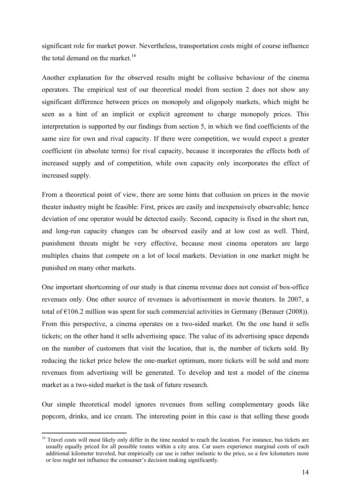significant role for market power. Nevertheless, transportation costs might of course influence the total demand on the market.<sup>16</sup>

Another explanation for the observed results might be collusive behaviour of the cinema operators. The empirical test of our theoretical model from section 2 does not show any significant difference between prices on monopoly and oligopoly markets, which might be seen as a hint of an implicit or explicit agreement to charge monopoly prices. This interpretation is supported by our findings from section 5, in which we find coefficients of the same size for own and rival capacity. If there were competition, we would expect a greater coefficient (in absolute terms) for rival capacity, because it incorporates the effects both of increased supply and of competition, while own capacity only incorporates the effect of increased supply.

From a theoretical point of view, there are some hints that collusion on prices in the movie theater industry might be feasible: First, prices are easily and inexpensively observable; hence deviation of one operator would be detected easily. Second, capacity is fixed in the short run, and long-run capacity changes can be observed easily and at low cost as well. Third, punishment threats might be very effective, because most cinema operators are large multiplex chains that compete on a lot of local markets. Deviation in one market might be punished on many other markets.

One important shortcoming of our study is that cinema revenue does not consist of box-office revenues only. One other source of revenues is advertisement in movie theaters. In 2007, a total of  $\epsilon$ 106.2 million was spent for such commercial activities in Germany (Berauer (2008)). From this perspective, a cinema operates on a two-sided market. On the one hand it sells tickets; on the other hand it sells advertising space. The value of its advertising space depends on the number of customers that visit the location, that is, the number of tickets sold. By reducing the ticket price below the one-market optimum, more tickets will be sold and more revenues from advertising will be generated. To develop and test a model of the cinema market as a two-sided market is the task of future research.

Our simple theoretical model ignores revenues from selling complementary goods like popcorn, drinks, and ice cream. The interesting point in this case is that selling these goods

 $\overline{a}$ <sup>16</sup> Travel costs will most likely only differ in the time needed to reach the location. For instance, bus tickets are usually equally priced for all possible routes within a city area. Car users experience marginal costs of each additional kilometer traveled, but empirically car use is rather inelastic to the price, so a few kilometers more or less might not influence the consumer's decision making significantly.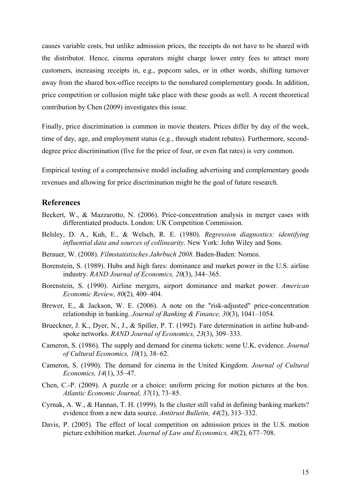causes variable costs, but unlike admission prices, the receipts do not have to be shared with the distributor. Hence, cinema operators might charge lower entry fees to attract more customers, increasing receipts in, e.g., popcorn sales, or in other words, shifting turnover away from the shared box-office receipts to the nonshared complementary goods. In addition, price competition or collusion might take place with these goods as well. A recent theoretical contribution by Chen (2009) investigates this issue.

Finally, price discrimination is common in movie theaters. Prices differ by day of the week, time of day, age, and employment status (e.g., through student rebates). Furthermore, seconddegree price discrimination (five for the price of four, or even flat rates) is very common.

Empirical testing of a comprehensive model including advertising and complementary goods revenues and allowing for price discrimination might be the goal of future research.

#### References

- Beckert, W., & Mazzarotto, N. (2006). Price-concentration analysis in merger cases with differentiated products. London: UK Competition Commission.
- Belsley, D. A., Kuh, E., & Welsch, R. E. (1980). Regression diagnostics: identifying influential data and sources of collinearity. New York: John Wiley and Sons.
- Berauer, W. (2008). Filmstatistisches Jahrbuch 2008. Baden-Baden: Nomos.
- Borenstein, S. (1989). Hubs and high fares: dominance and market power in the U.S. airline industry. RAND Journal of Economics, 20(3), 344–365.
- Borenstein, S. (1990). Airline mergers, airport dominance and market power. American Economic Review, 80(2), 400–404.
- Brewer, E., & Jackson, W. E. (2006). A note on the "risk-adjusted" price-concentration relationship in banking. Journal of Banking & Finance, 30(3), 1041–1054.
- Brueckner, J. K., Dyer, N., J., & Spiller, P. T. (1992). Fare determination in airline hub-andspoke networks. *RAND Journal of Economics*, 23(3), 309–333.
- Cameron, S. (1986). The supply and demand for cinema tickets: some U.K. evidence. Journal of Cultural Economics, 10(1), 38–62.
- Cameron, S. (1990). The demand for cinema in the United Kingdom. Journal of Cultural Economics, 14(1), 35–47.
- Chen, C.-P. (2009). A puzzle or a choice: uniform pricing for motion pictures at the box. Atlantic Economic Journal, 37(1), 73–85.
- Cyrnak, A. W., & Hannan, T. H. (1999). Is the cluster still valid in defining banking markets? evidence from a new data source. Antitrust Bulletin, 44(2), 313–332.
- Davis, P. (2005). The effect of local competition on admission prices in the U.S. motion picture exhibition market. Journal of Law and Economics, 48(2), 677–708.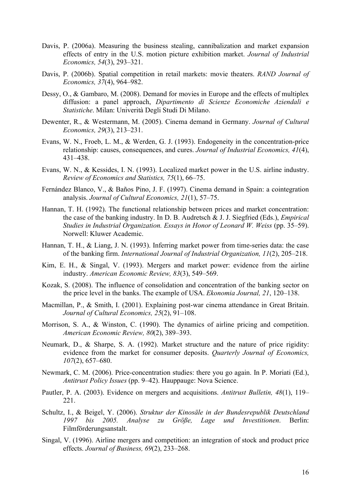- Davis, P. (2006a). Measuring the business stealing, cannibalization and market expansion effects of entry in the U.S. motion picture exhibition market. Journal of Industrial Economics, 54(3), 293–321.
- Davis, P. (2006b). Spatial competition in retail markets: movie theaters. RAND Journal of Economics, 37(4), 964–982.
- Dessy, O., & Gambaro, M. (2008). Demand for movies in Europe and the effects of multiplex diffusion: a panel approach, Dipartimento di Scienze Economiche Aziendali e Statistiche. Milan: Univerità Degli Studi Di Milano.
- Dewenter, R., & Westermann, M. (2005). Cinema demand in Germany. Journal of Cultural Economics, 29(3), 213–231.
- Evans, W. N., Froeb, L. M., & Werden, G. J. (1993). Endogeneity in the concentration-price relationship: causes, consequences, and cures. Journal of Industrial Economics, 41(4), 431–438.
- Evans, W. N., & Kessides, I. N. (1993). Localized market power in the U.S. airline industry. Review of Economics and Statistics, 75(1), 66–75.
- Fernández Blanco, V., & Baños Pino, J. F. (1997). Cinema demand in Spain: a cointegration analysis. Journal of Cultural Economics, 21(1), 57–75.
- Hannan, T. H. (1992). The functional relationship between prices and market concentration: the case of the banking industry. In D. B. Audretsch  $\&$  J. J. Siegfried (Eds.), *Empirical* Studies in Industrial Organization. Essays in Honor of Leonard W. Weiss (pp. 35–59). Norwell: Kluwer Academic.
- Hannan, T. H., & Liang, J. N. (1993). Inferring market power from time-series data: the case of the banking firm. International Journal of Industrial Organization, 11(2), 205–218.
- Kim, E. H., & Singal, V. (1993). Mergers and market power: evidence from the airline industry. American Economic Review, 83(3), 549–569.
- Kozak, S. (2008). The influence of consolidation and concentration of the banking sector on the price level in the banks. The example of USA. Ekonomia Journal, 21, 120–138.
- Macmillan, P., & Smith, I. (2001). Explaining post-war cinema attendance in Great Britain. Journal of Cultural Economics, 25(2), 91–108.
- Morrison, S. A., & Winston, C. (1990). The dynamics of airline pricing and competition. American Economic Review, 80(2), 389–393.
- Neumark, D., & Sharpe, S. A. (1992). Market structure and the nature of price rigidity: evidence from the market for consumer deposits. Quarterly Journal of Economics, 107(2), 657–680.
- Newmark, C. M. (2006). Price-concentration studies: there you go again. In P. Moriati (Ed.), Antitrust Policy Issues (pp. 9–42). Hauppauge: Nova Science.
- Pautler, P. A. (2003). Evidence on mergers and acquisitions. Antitrust Bulletin, 48(1), 119– 221.
- Schultz, I., & Beigel, Y. (2006). Struktur der Kinosäle in der Bundesrepublik Deutschland 1997 bis 2005. Analyse zu Größe, Lage und Investitionen. Berlin: Filmförderungsanstalt.
- Singal, V. (1996). Airline mergers and competition: an integration of stock and product price effects. Journal of Business, 69(2), 233–268.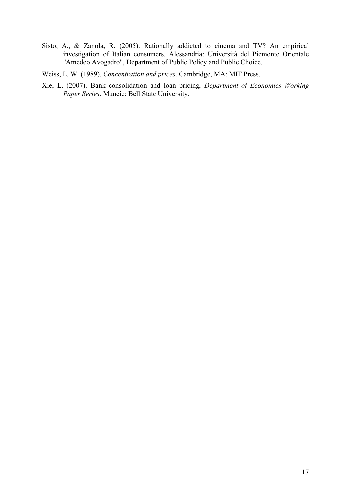- Sisto, A., & Zanola, R. (2005). Rationally addicted to cinema and TV? An empirical investigation of Italian consumers. Alessandria: Università del Piemonte Orientale "Amedeo Avogadro", Department of Public Policy and Public Choice.
- Weiss, L. W. (1989). Concentration and prices. Cambridge, MA: MIT Press.
- Xie, L. (2007). Bank consolidation and loan pricing, Department of Economics Working Paper Series. Muncie: Bell State University.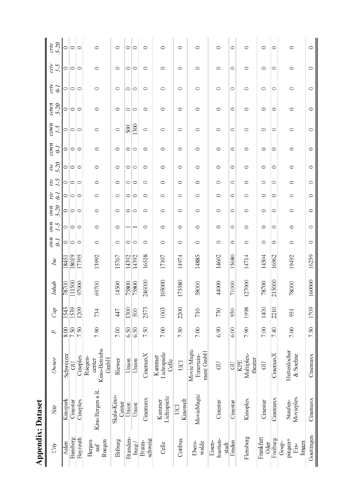| <b>Appendix: Dataset</b>           |                             |                                                   |                |      |        |       |                       |                       |                        |                                   |                                  |                    |                                                                   |                          |                                                                     |                        |                     |                      |
|------------------------------------|-----------------------------|---------------------------------------------------|----------------|------|--------|-------|-----------------------|-----------------------|------------------------|-----------------------------------|----------------------------------|--------------------|-------------------------------------------------------------------|--------------------------|---------------------------------------------------------------------|------------------------|---------------------|----------------------|
| Cip                                | Site                        | Owner                                             | L              | Cap  | Inhab  | Inc   | umo<br>$\overline{c}$ | UMO<br>$\overline{1}$ | $07 - 5$<br><b>UMD</b> | $\widetilde{r}$<br>$\overline{d}$ | $\mathcal{L}$<br>$\widetilde{r}$ | $5-20$<br>$\mu\mu$ | $_{\mathcal{C}^{\textit{ON} \prime} \eta}$<br>$\overline{\theta}$ | $_{\rm{convn}}$<br>$1-5$ | $_{\mathcal{C}^{\mathcal{C} \mathcal{W} \mathcal{B}}}$<br>$07 - 50$ | crτν<br>$\overline{c}$ | ćη<br>$\mathcal{L}$ | $5 - 20$<br>$c_{TV}$ |
| Aalen                              | Kinopark                    | Schweizer                                         | $\frac{80}{3}$ | 1543 | 78700  | 18451 |                       |                       |                        |                                   |                                  |                    | $\circ$                                                           |                          |                                                                     |                        |                     | $\circ$              |
| Bamberg                            | Cinestar                    | $\overline{G}$                                    | 7.50           | 1539 | 111500 | 18019 | ೦∣೦                   | ೦∣೦                   | 0 0 0                  | 0 0 0                             | 0 0 0                            | 0 0 0              | $\circ$                                                           | ೦∣೦                      | ೦∣೦                                                                 | ం∣ం                    | ೦∣೦                 | $\circ$              |
| Bayreuth                           | Cineplex                    | Cineplex                                          | 7.50           | 1209 | 97000  | 17395 | $\circ$               | $\circ$               |                        |                                   |                                  |                    | $\circ$                                                           | $\circ$                  | $\circ$                                                             | $\circ$                | $\circ$             | $\circ$              |
| Ruegen<br>Bergen<br>auf            | Kino Bergen a.R.            | <b>Kino-Betriebs</b><br>Ruegen-<br>GmbH<br>center | 7.90           | 734  | 69700  | 13992 | $\circ$               | $\circ$               | $\circ$                | $\circ$                           | $\circ$                          | $\circ$            | $\circ$                                                           | $\circ$                  | $\circ$                                                             | $\circ$                | $\circ$             | $\circ$              |
| Bitburg                            | Skala Kino-<br>Center       | Riewer                                            | 7.00           | 447  | 14500  | 5767  | $\circ$               | $\circ$               | $\circ$                | $\circ$                           | $\circ$                          | $\circ$            | $\circ$                                                           | $\circ$                  | $\circ$                                                             | $\circ$                | $\circ$             | $\circ$              |
| <b>Branden</b>                     | Union                       | Union                                             | 6.50           | 1300 | 75800  | 14392 | $\circ$               |                       |                        |                                   | $\circ$                          |                    | 0                                                                 | $\overline{500}$         | $\circ$                                                             | $\circ$                | $\circ$             | $\circ$              |
| burg/                              | Union                       | Union                                             | 6.50           | 500  | 75800  | 14392 | ∣⇔                    |                       | 0 0                    | ం∣ం                               | ∣⇔                               | $\bigcirc$         | $\circ$                                                           | 1300                     | ∣⇔                                                                  | $\circ$                | ∣⇔                  | $\circ$              |
| schweig<br>Braun-                  | Cinemaxx                    | CinemaxX                                          | 7.50           | 2573 | 246000 | 16518 | $\circ$               | $\circ$               | $\circ$                | $\circ$                           | $\circ$                          | $\circ$            | 0                                                                 | $\circ$                  | $\circ$                                                             | $\circ$                | $\circ$             | $\circ$              |
| Celle                              | Lichtspiele<br>Kannner      | Lichtspiele<br>Kammer<br>Celle                    | 7.00           | 1003 | 105000 | 17107 | $\circ$               | $\circ$               | $\circ$                | $\circ$                           | $\circ$                          | $\circ$            | $\circ$                                                           | $\circ$                  | $\circ$                                                             | $\circ$                | $\circ$             | $\circ$              |
| Cottbus                            | Kinowelt<br>UCI             | UCI                                               | 7.50           | 2200 | 175580 | 14974 | $\circ$               | $\circ$               | $\circ$                | $\circ$                           | $\circ$                          | $\circ$            | $\circ$                                                           | $\circ$                  | $\circ$                                                             | $\circ$                | $\circ$             | $\circ$              |
| walde<br>Ebers                     | MovieMagic                  | Movie Magic<br>ment GmbH<br>Entertain-            | 7.00           | 710  | 58000  | 14885 | $\circ$               | $\circ$               | $\circ$                | $\circ$                           | $\circ$                          | $\circ$            | $\circ$                                                           | $\circ$                  | $\circ$                                                             | $\circ$                | $\circ$             | $\circ$              |
| huetten-<br>Eisen-<br>stadt        | Cinestar                    | GU                                                | 6.90           | 730  | 44000  | 14602 | $\circ$               | $\circ$               | $\circ$                | $\circ$                           | $\circ$                          | $\circ$            | $\circ$                                                           | $\circ$                  | $\circ$                                                             | $\circ$                | $\circ$             | $\circ$              |
| Emden                              | Cinestar                    | <b>GU</b>                                         | 6.00           | 930  | 71000  | 15680 | $\circ$               | $\circ$               | $\circ$                | $\circ$                           | $\circ$                          | $\circ$            | $\circ$                                                           | $\circ$                  | $\circ$                                                             | $\circ$                | $\circ$             | $\circ$              |
| Flensburg                          | Kinoplex                    | Multiplex-<br>theater<br><b>KPE</b>               | 7.90           | 1998 | 127000 | 14714 | $\circ$               | $\circ$               | $\circ$                | $\circ$                           | $\circ$                          | $\circ$            | $\circ$                                                           | $\circ$                  | $\circ$                                                             | $\circ$                | $\circ$             | $\circ$              |
| Frankfurt<br><b>Oder</b>           | Cinestar                    | <b>GU</b>                                         | 7.00           | 1400 | 78700  | 14504 | $\circ$               | $\circ$               | $\circ$                | $\circ$                           | $\circ$                          | $\circ$            | $\circ$                                                           | $\circ$                  | $\circ$                                                             | $\circ$                | $\circ$             | $\circ$              |
| Freiburg                           | Cinemaxx                    | CinemaxX                                          | 7.40           | 2210 | 215000 | 16962 | $\circ$               | $\circ$               | $\circ$                | $\circ$                           | $\circ$                          | $\circ$            | $\circ$                                                           | $\circ$                  | $\circ$                                                             | $\circ$                | $\circ$             | $\circ$              |
| pingen+<br>Goep-<br>lingen<br>Eis- | Movieplex<br><b>Staufen</b> | Huttenlocher<br>& Soehne                          | 7.00           | 951  | 78000  | 19492 | $\circ$               | $\circ$               | $\circ$                | $\circ$                           | $\circ$                          | $\circ$            | $\circ$                                                           | $\circ$                  | $\circ$                                                             | $\circ$                | $\circ$             | $\circ$              |
| Goettingen                         | Cinemaxx                    | Cinemaxx                                          | 7.50           | 1709 | 160000 | 16259 | $\circ$               | $\circ$               | $\circ$                | $\circ$                           | $\circ$                          | $\circ$            | $\circ$                                                           | $\circ$                  | $\circ$                                                             | $\circ$                | $\circ$             | $\circ$              |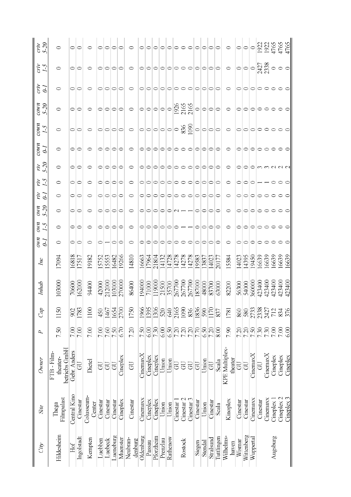| $\frac{c}{5-20}$                                    | $\circ$                              | ం∣ం            |            | ○                   |                |          | 이이이이                                        |          | $\circ$            |                  |          |                                                                                               |          |          |                  |                 |            |          |         |                                |            | $\circ$                                                                |          |            |           | $\frac{1}{\frac{1}{2}}$ $\frac{1}{2}$ $\frac{1}{2}$ $\frac{1}{2}$ $\frac{1}{2}$ $\frac{1}{2}$ $\frac{1}{2}$ $\frac{1}{2}$ $\frac{1}{2}$ $\frac{1}{2}$ $\frac{1}{2}$ $\frac{1}{2}$ $\frac{1}{2}$ $\frac{1}{2}$ $\frac{1}{2}$ $\frac{1}{2}$ $\frac{1}{2}$ $\frac{1}{2}$ $\frac{1}{2}$ $\frac{1}{2}$ $\frac{1}{2}$ $\frac{1}{$ |          |            |            | 4765          |  |
|-----------------------------------------------------|--------------------------------------|----------------|------------|---------------------|----------------|----------|---------------------------------------------|----------|--------------------|------------------|----------|-----------------------------------------------------------------------------------------------|----------|----------|------------------|-----------------|------------|----------|---------|--------------------------------|------------|------------------------------------------------------------------------|----------|------------|-----------|-----------------------------------------------------------------------------------------------------------------------------------------------------------------------------------------------------------------------------------------------------------------------------------------------------------------------------|----------|------------|------------|---------------|--|
| $rac{V}{I-2}$                                       | $\circ$                              | ⊝∣⊝            |            | $\circ$             |                |          | 이이이이                                        |          | $\circ$            |                  |          |                                                                                               |          |          |                  |                 |            |          |         |                                |            | $\circ$ $\circ$ $\circ$ $\circ$ $\circ$ $\frac{1}{2}$                  |          |            |           |                                                                                                                                                                                                                                                                                                                             |          |            |            |               |  |
| $\frac{\partial}{\partial L}$                       | $\circ$                              | ⊝∣⊜            |            | $\circ$             |                |          | $\circ$ $\circ$ $\circ$                     |          | $\circ$            |                  |          |                                                                                               |          |          |                  |                 |            |          |         | o o o o o o o o o o o o        |            | $\circ$                                                                |          |            |           | 0 0 0 0 0 0 0 0                                                                                                                                                                                                                                                                                                             |          |            |            |               |  |
| $rac{1}{5-20}$                                      | $\circ$                              | ೦∣೦            |            | $\circ$             |                |          |                                             |          | $\circ$  0 0 0  0  |                  |          |                                                                                               |          |          |                  |                 |            |          |         |                                |            | $ 0 0 0 0 0 0  \frac{8}{2} \frac{8}{3} \frac{9}{3}  0 0 0 0 000000000$ |          |            |           |                                                                                                                                                                                                                                                                                                                             |          |            |            |               |  |
| $rac{1.5}{1.5}$                                     | $\circ$                              | $\circ$        |            | $\circ$             |                |          |                                             |          |                    |                  |          |                                                                                               |          |          |                  |                 |            |          |         |                                |            |                                                                        |          |            |           |                                                                                                                                                                                                                                                                                                                             |          |            |            |               |  |
| $\frac{cown}{\theta-1}$                             | $\circ$                              | ೦∣೦            |            | $\circ$             | 0   0  0       |          |                                             |          | $\circ$            |                  |          |                                                                                               |          |          |                  |                 |            |          |         | 0 0 0 0 0 0 0 0 0 0 0 0        |            | $\circ$                                                                |          |            |           | 0 0 0 0 0 0 0                                                                                                                                                                                                                                                                                                               |          |            |            |               |  |
| $\widetilde{\phantom{a}}$ $\widetilde{\phantom{a}}$ | $\circ$                              | ೦∣೦            |            | $\circ$             |                |          | 이이이이                                        |          | ○                  |                  |          | ololololo o o                                                                                 |          |          |                  |                 |            |          |         | 0  0  0  0                     |            | $\circ$                                                                |          |            |           | OOOMMNN                                                                                                                                                                                                                                                                                                                     |          |            |            |               |  |
| $\frac{5}{11}$                                      | $\circ$                              | $\bigcirc$     |            | $\circ$             |                |          | $\bigcirc$ $\bigcirc$ $\bigcirc$ $\bigcirc$ |          | $\circ$            |                  |          |                                                                                               |          |          |                  |                 |            |          |         | 이이이이이ㅇㅇㅇ이이이ㅇㅇ                  |            | $\circ$                                                                |          |            |           | 이이이ㅡㅡㅇㅇㅇ                                                                                                                                                                                                                                                                                                                    |          |            |            |               |  |
| $\widetilde{t}$                                     | $\circ$                              | ೦∣೦            |            | $\circ$             |                |          | $\circ$ $\circ$ $\circ$                     |          | ○                  |                  |          |                                                                                               |          |          |                  |                 |            |          |         | 이이이이이ㅇㅇㅇ이이이ㅇㅇ                  |            | ○                                                                      |          |            |           | 0 0 0 0 0 0 0                                                                                                                                                                                                                                                                                                               |          |            |            |               |  |
| $\frac{1}{5-20}$                                    | $\circ$                              | ೦∣೦            |            | $\circ$             |                |          | $\circ$ $\circ$ $\circ$                     |          | $\circ$            |                  |          | $\bigcirc$ $\bigcirc$ $\bigcirc$ $\bigcirc$ $\bigcirc$ $\bigcirc$ $\rightarrow$ $\rightarrow$ |          |          |                  |                 |            |          |         | 0 0 0 0                        |            | $\circ$                                                                |          |            |           | 0 0 0 0 0 0 0 0                                                                                                                                                                                                                                                                                                             |          |            |            |               |  |
| $rac{M}{I-5}$                                       | $\circ$                              | ೦∣೦            |            | $\circ$             |                |          | 0 0 0 0                                     |          | $\circ$            |                  |          |                                                                                               |          |          |                  |                 |            |          |         | $\circ$  0 0 0 0 0 — — 0 0 0 0 |            | $\circ$                                                                |          |            |           | 이이이ㅇㅇㅇㅇㅇ                                                                                                                                                                                                                                                                                                                    |          |            |            |               |  |
| $\frac{1}{q}$                                       | $\circ$                              | ೦∣೦            |            | $\circ$             |                |          | $\circ$ $\circ$                             |          | $\circ$            |                  |          |                                                                                               |          |          |                  |                 |            |          |         | 0 0 0 0 0 0 0 0 0 0 0          |            | $\circ$                                                                |          |            |           | 0 0 0 0 0 0 0 0                                                                                                                                                                                                                                                                                                             |          |            |            |               |  |
| Inc                                                 | 17094                                | 16818<br>17517 |            | 19182               | 15752<br>15553 |          | 16482                                       | 19266    | 14810              | 16663            | 17964    | 21804                                                                                         | 14132    | 14728    | 14278            | 14278           | 14278      | 19583    | 13837   | 14023                          | 20177      | 15584                                                                  | 14023    | 14395      | 19450     | 16639                                                                                                                                                                                                                                                                                                                       | 16639    | 16639      | 16639      | 16639         |  |
| Inhab                                               | 103000                               | 70600          | 162000     | 94400               | 42000          | 212000   | 103000                                      | 270000   | 86400              | 194000           | 71000    | 119000                                                                                        | 21500    | 35700    | 267700<br>267700 |                 | 267700     | 187000   | 48000   | 83700                          | 63000      | 82200                                                                  | 56300    | 54000      |           | 360000<br>423400<br>423400                                                                                                                                                                                                                                                                                                  |          | 423400     | 423400     | 423400        |  |
| Cap                                                 | 1150                                 | 902            | 1783       | 1100                | 450            | 1467     | 1654                                        | 2700     | 1750               | 1966             | 1395     | 1306                                                                                          | 520      | 640      | 2165             | 1090            | 836        | 1836     | 590     | 1170                           | 837        | 1781                                                                   | 860      | 580        |           | 2738<br>27387<br>2427<br>2427                                                                                                                                                                                                                                                                                               |          |            | 834        | 376           |  |
| P                                                   | 7.50                                 | 7.00           | 7.00       | 7.00                | 7.00           | 7.60     | 7.50                                        | 6.70     | 7.20               | 7.50             | 6.00     | 7.30                                                                                          | 6.00     | 6.50     | 7.20             | $7.20$          | 7.20       | 7.70     | 6.50    | 7.20                           | 8.00       | 7.90                                                                   | 7.20     | 7.20       | 7.50      | $\frac{8880}{7700}$                                                                                                                                                                                                                                                                                                         |          |            |            | 6.00          |  |
| Owner                                               | betriebs GmbH<br>FTB-Film<br>theater | Gebr. Anders   | GU         | Dietel              | 5              | GU       | 5                                           | Cineplex | 5                  | CinemaxX         | Cineplex | Cineplex                                                                                      | Union    | Union    | GU               | GU              | GU         | GU       | Umon    | $\overline{5}$                 | Scala      | KPE Multiplex-<br>theater                                              | 5        | <b>GU</b>  | CinemaxX  | $\overline{5}$                                                                                                                                                                                                                                                                                                              | CinemaxX | Cineplex   | Cineplex   | Cineplex      |  |
| Site                                                | Filmpalast<br>Thega                  | Central Kino   | Cinestar   | Colusseum<br>Center | Cinestar       | Cinestar | Cinestar                                    | Cineplex | Cinestar           | Cinemaxx         | Cineplex | Cineplex                                                                                      | Union    | Umon     | $Cmestar$ ]      | $C$ inestar $2$ | Cinestar 3 | Cinestar | Union   | Cinestar                       | Scala      | Kmoplex                                                                | Cinestar | Cinestar   | Cinemaxx  | Cinestar                                                                                                                                                                                                                                                                                                                    | Cinemaxx | Cineplex 1 | Cineplex 2 | $C$ ineplex 3 |  |
| City                                                | Hildesheim                           | Hof            | Ingolstadt | Kempten             | Luebben        | Luebeck  | Lueneburg                                   | Muenster | Neubran<br>denburg | <b>Oldenburg</b> | Passau   | Pforzheim                                                                                     | Prenzlau | Rathenow |                  | Rostock         |            | Siegen   | Stendal | Stralsund                      | Tuttlingen | Wilhelms-<br>haven                                                     | Wismar   | Wittenberg | Wuppertal |                                                                                                                                                                                                                                                                                                                             |          | Augsburg   |            |               |  |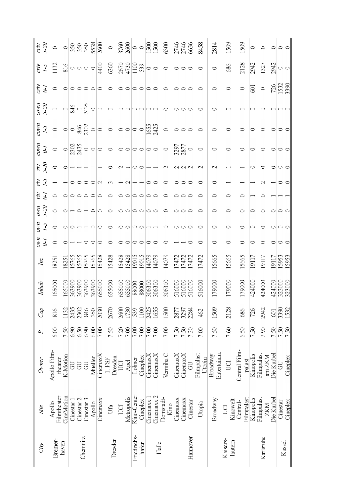| $c r r$<br>$05 - 50$                  | $\circ$                 | $\circ$    |            | 350<br>350<br>3538                                  |                       |         | 2600            | $\circ$             |         | 3760<br>2600     | $\circ$                                           |          | $\frac{1500}{1500}$ |            | 6300             |          |                     | 2746<br>2746<br>6636 | 8458                 | 2814                    | 1509               | 509                     | 0         |                          | 0          | $\circ$         |                 |
|---------------------------------------|-------------------------|------------|------------|-----------------------------------------------------|-----------------------|---------|-----------------|---------------------|---------|------------------|---------------------------------------------------|----------|---------------------|------------|------------------|----------|---------------------|----------------------|----------------------|-------------------------|--------------------|-------------------------|-----------|--------------------------|------------|-----------------|-----------------|
| άW<br>$\mathcal{C}^{-}$               | 1132                    | 816        |            | $\circ \circ \circ \circ$                           |                       |         | 4400            | 6360                |         |                  | 2670<br>4730<br>1100<br>539                       |          | $\circ$ $\circ$     |            | $\circ$          |          | $\circ \circ \circ$ |                      | 0                    | $\circ$                 | 686                | 2128                    | 2942      | 1327                     | 2942       | $\circ$         |                 |
| cτιν<br>$\epsilon$                    | $\circ$                 | $\circ$    |            | $\circ \circ \circ$                                 |                       |         |                 |                     |         |                  | $\circ$                                           |          | $\circ$ $\circ$     |            | ○                | $\circ$  |                     |                      |                      | C                       |                    | $\circ$                 | 5         | $\circ$                  | 726        | 1532<br>3390    |                 |
| $_{\rm{conv}}$<br>$5-20$              | $\circ$                 |            |            | $\frac{1}{8}$ $\frac{1}{3}$                         |                       | $\circ$ | $\circ$         | $\circ$             |         |                  | $\circ$ $\circ$                                   |          | $\circ$ $\circ$     |            | ⊂                |          | $\circ$             |                      | ⊂                    |                         |                    |                         |           |                          |            |                 |                 |
| $_{\rm{conv}}$<br>$\mathcal{C}$       | $\circ$                 |            |            | $\circ$ $\circ$ $\frac{3}{2}$ $\circ$ $\frac{3}{2}$ |                       |         | $\circ$         | $\circ$             |         |                  | $\circ \circ \circ \frac{\text{cos}}{\text{cos}}$ |          |                     |            | $\circ$          |          | $\circ \circ \circ$ |                      | ○                    | C                       |                    | ○                       | 0         |                          | 0          | $\circ$         |                 |
| $_{\rm{convn}}$<br>$\tilde{\epsilon}$ | $\circ$                 |            |            |                                                     |                       |         | $\circ$         | $\circ$             |         |                  | $\circ \circ \circ \circ \circ \circ$             |          |                     |            | $\circ$          |          | 3297<br>2877<br>0   |                      | $\circ$              | 0                       |                    | 0                       | $\circ$   |                          | $\circ$    | ○ ○             |                 |
| YΙV                                   | $\circ$                 | ○          |            |                                                     |                       |         |                 |                     |         |                  | $\circ$                                           | $\circ$  |                     |            | $\mathbf{\sim}$  |          | つくい                 |                      | $\mathcal{L}$        | $\scriptstyle\sim$      |                    |                         |           |                          |            | $\circ$ $\circ$ |                 |
| řΡ                                    |                         |            | 0          |                                                     |                       |         | $\mathbf{\sim}$ |                     |         | $\sim$           |                                                   |          | ○                   |            | ○                | 0        |                     |                      | ○                    | C                       |                    |                         |           |                          |            |                 |                 |
| È                                     |                         |            |            | $\circ$                                             |                       | ○       | C               |                     |         | $\circ$          | $\circ$                                           | $\circ$  | $\circ$             |            |                  |          | $\circ \circ$       |                      |                      | ⊂                       |                    | ⊂                       |           |                          |            |                 |                 |
| $05-5$<br>und                         | $\circ$                 | ○          |            |                                                     |                       | $\circ$ | ○               |                     | $\circ$ |                  | $\circ$ $\circ$                                   |          | $\circ$             |            | $\circ$          |          | 0 0 0               |                      | ○                    | ○                       | ○                  | 0                       | C         |                          | 0          | $\circ$         |                 |
| uno<br>$\tilde{C}$                    | $\circ$                 | $\circ$    | $\circ$ ,  |                                                     |                       | $\circ$ | ○               | $\circ$             |         | $\circ$ $\circ$  | $\circ \circ$                                     |          |                     |            | ○                |          | 000                 |                      | 0                    | 0                       |                    | 0                       | 0         |                          |            | $\circ$         |                 |
| unc<br>$\vec{c}$                      |                         |            |            |                                                     |                       |         |                 |                     |         | $\circ$          | $\circ$                                           | $\circ$  | ○                   |            | ○                |          |                     |                      |                      | 0                       |                    | 0                       |           |                          |            |                 | $\circ$ $\circ$ |
| Inc                                   | 8251                    | 8251       | 15765      | 15765                                               | 15765                 | 15765   | 5428            | 15428               | 15428   | 15428            | 19015                                             | 19015    | 14079               | 14079      | 14079            |          | 17472<br>17472      | 17472                | 17472                | 15665                   | 15665              | 15665                   | 19117     | 19117                    | 19117      | 15953           | 15953           |
| Inhab                                 | 165000                  | 165000     |            | 363900                                              | 363900                | 363900  | 655000          | 655000              | 655000  | 655000           | 88000                                             | 88000    | 306300              | 306300     | 306300           | 516000   |                     | 516000<br>516000     | 516000               | 179000                  | 179000             | 179000                  | 424000    | 424000                   | 424000     | 323000          |                 |
| Cap                                   | 816                     | 1132       |            | 2435<br>2302                                        | 846                   | 350     | 2030            | 2670                | 2600    | 1730             | 539                                               | 1100     | 2425                | 1655       | 1500             |          |                     | 2877<br>3297<br>2284 | 462                  | 1509                    | 2128               | 686                     | 726       | 2942                     | $601$      | 3390<br>1532    |                 |
| P                                     | 6.00                    | 7.50       | 6.90       | $6.50\,$                                            | 6.90                  | 6.00    | $7.00$          | 7.50                |         | $7.20$<br>$7.00$ | $7.00$<br>$7.00$                                  |          |                     | 7.00       | 7.00             |          | 7.50                | 7.30                 | 7.00                 | 7.50                    | 7.60               | 6.50                    | 7.50      | 7.90                     | 7.50       | 7.50            |                 |
| Owner                                 | Apollo Film-<br>theater | K-Motion   | <b>GU</b>  | <b>GU</b>                                           | <b>GU</b>             | Mueller | CinemaxX        | Dresden<br>$1.$ FSF | UCI     | Apel             | Lohner                                            | Cineplex | CinemaxX            | CinemaxX   | Vermiba C        | CinemaxX | CinemaxX            | <b>GU</b>            | Filmpalast<br>Utopia | Entertainm.<br>Broadway | UCI                | Central Film-<br>palast | Kinopolis | Filmpalast<br>am ZKM     | Die Kurbel | ਰ               | Cineplex        |
| Site                                  | Filmtheater<br>Apollo   | CineMotion | Cinestar 1 | Cinestar <sub>2</sub>                               | Cinestar <sub>3</sub> | Apollo  | Cinemaxx        | Ufa                 | UCI     | Metropolis       | Kino-Center                                       | Cineplex | Cinemaxx 1          | Cinemaxx 2 | Donstadt<br>Kino | Cinemaxx | Cinemaxx            | Cinestar             | Utopia               | Broadway                | Kinowelt<br>UCI    | Filmpalast<br>Central-  | Kinopolis | Filmpalast<br><b>ZKM</b> | Die Kurbel | Cinestar        | Cineplex        |
| City                                  | Bremer-                 | haven      |            |                                                     | Chemnitz              |         |                 | Dresden             |         |                  | Friedrichs-                                       | hafen    |                     | Halle      |                  |          |                     | Hannover             |                      |                         | Kaisers<br>lautern |                         |           | Karlsruhe                |            |                 | Kassel          |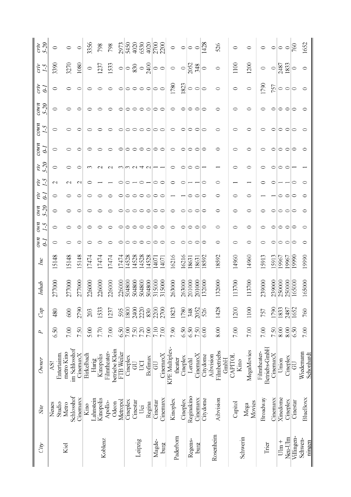| $C\bar{t}\bar{p}$ | Site                | Owner                                | P                | Cap  | Inhab  | Iю    | uno<br>$\overline{\theta}$ | $\mu_{MO}$<br>$\zeta$ - | $07-5$<br>uno | ŗη<br>d | $5-20$<br>ŗη<br>$\zeta$ <sup>-</sup><br>ŗη | $_{\rm{convn}}$<br>$\overline{d}$ | $_{\rm{convn}}$<br>$\zeta$ - | $_{convn}$<br>$05 - 50$ | cτην<br>$\overline{\mathcal{L}}$ | čη<br>$\sim$                         | $5 - 20$<br>$c_{TV}$ |
|-------------------|---------------------|--------------------------------------|------------------|------|--------|-------|----------------------------|-------------------------|---------------|---------|--------------------------------------------|-----------------------------------|------------------------------|-------------------------|----------------------------------|--------------------------------------|----------------------|
|                   | Studio<br>Neues     | Entertanm.<br>AS!                    | 6.50             | 480  | 277000 | 5148  | $\circ$                    | $\circ$                 | 0             | 0       | $\circ$<br>$\mathrel{\sim}$                | $\circ$                           | ○                            | $\circ$                 | $\circ$                          | 3390                                 | $\circ$              |
|                   | Schlosshof<br>Metro | im Schlosshof<br>metro Kino          | 7.00             | 600  | 277000 | 15148 | ○                          | ○                       | ○             | ⊂       | ⊂                                          | 0                                 | ⊂                            | ⊂                       | ○                                | 3270                                 | $\circ$              |
|                   | Cinemaxx            | CinemaxX                             | 7.50             | 2790 | 277000 | 15148 | ○                          | ○                       | 0             | 0       | C<br>$\sim$                                | ○                                 |                              | ⊂                       | C                                | 1080                                 | $\circ$              |
|                   | Lahnstein<br>Kino   | Birkelbach<br>Harig                  | 5.00             | 203  | 226000 | 17474 | C                          | ○                       | ○             | ○       | ຕ                                          | ○                                 |                              |                         | ○                                | $\circ$                              | 3356                 |
| Koblenz           | Kinopolis           | Kinopolis                            | 7.70             | 1533 | 226000 | 17474 |                            | ○                       | ○             |         |                                            | c                                 |                              |                         |                                  | 1237                                 | 798                  |
|                   | Apollo-<br>Odeon    | betriebe Klein<br>Filmtheater        | 7.00             | 1237 | 226000 | 17474 |                            |                         |               |         |                                            |                                   |                              |                         |                                  | 1533                                 | 798                  |
|                   | Metropol            | FTB Weiler                           | 6.50             | 595  | 226000 | 17474 | 0                          | 0                       | 0             |         | ొ                                          | ○                                 |                              |                         | 0                                | $\circ$                              | 2973                 |
|                   | Cineplex            | Cineplex                             | 7.00             | 1800 | 504800 | 14528 | ○                          | ○                       | ○             | ○       | ∾                                          | ○                                 | 0                            |                         | ○                                |                                      | 5450                 |
| Leipzig           | Cinestar            | $\overline{5}$                       | $7.50$<br>$7.20$ | 2400 | 504800 | 14528 | $\circ$                    | ◯                       | $\circ$       | ○       |                                            | ○                                 |                              |                         |                                  | $\Big  \circ \, 30$<br>$\circ \, 60$ | 4020                 |
|                   | $\overline{\cup}$ g | UCI                                  |                  | 2220 | 504800 | 14528 | $\circ$                    | ○                       | $\circ$       | ○       |                                            | $\circ$                           | ○                            | ○                       | ⊂                                |                                      | 6530                 |
|                   | Regina              | Bofimax                              | $7.00$           | 830  | 504800 | 14528 | $\circ$                    | ○                       | $\circ$       | ⊂       |                                            | $\circ$                           | ○                            | ⊂                       | $\circ$                          |                                      | 4020                 |
| Magde-            | Cinestar            | 5                                    | 7.10             | 2200 | 315000 | 14071 | $\circ$                    | $\circ$                 | $\circ$       | ○       | ⊂                                          | $\circ$                           | ○                            | $\circ$                 | $\circ$                          | $\circ$                              | 2700                 |
| burg              | Cinemaxx            | CinemaxX                             | 7.00             | 2700 | 315000 | 14071 | $\circ$                    | $\circ$                 | $\circ$       | ⊂       | ⊂                                          | $\circ$                           | $\circ$                      | $\subset$               | $\circ$                          |                                      | 2200                 |
| Paderborn         | Kinoplex            | KPE Multiplex-<br>theater            | 7.90             | 1823 | 263000 | 16216 | $\circ$                    | ○                       | 0             |         | ○<br>⊂                                     | 0                                 | ○                            | ⊂                       | 180                              | $\circ$                              | $\circ$              |
|                   | Cineplex            | Cineplex                             | 6.50             | 1780 | 263000 | 16216 | $\circ$                    | ○                       | ○             |         | ⊂<br>C                                     | ○                                 | 0                            | ○                       | 1823                             | $\circ$                              | $\circ$              |
| Regens-           | Reginakino          | Lerchl                               | 6.50             | 348  | 201000 | 18631 | $\circ$                    | $\circ$                 | ○             | 0       | $\circ$                                    | $\circ$                           | ○                            | ○                       | $\circ$                          | 2052                                 | $\circ$              |
| burg              | Cinemaxx            | CinemaxX                             | 7.50             | 2052 | 201000 | 18631 | $\circ$                    | $\circ$                 | $\circ$       | $\circ$ | $\circ$                                    | $\circ$                           | $\circ$                      | $\circ$                 | $\circ$                          | 348                                  | $\circ$              |
|                   | Citydome            | Citydome                             | 6.00             | 526  | 132000 | 18592 | $\circ$                    | $\circ$                 | ○             | $\circ$ | ○                                          | $\circ$                           | ⊂                            | ⊂                       | $\circ$                          | $\circ$                              | 1428                 |
| Rosenheim         | Aibvision           | Filmbetriebs<br>Aibvision<br>GmbH    | 8.00             | 1428 | 132000 | 18592 | 0                          | 0                       | 0             | 0       | 0                                          | ○                                 | ⊂                            | ⊂                       | 0                                | $\circ$                              | 526                  |
|                   | Capitol             | CAPITOL<br>Kino                      | 7.00             | 1200 | 113700 | 14960 | ○                          | ○                       | ○             | ○       | ⊂                                          | ○                                 | C                            |                         | $\circ$                          | 1100                                 | $\circ$              |
| Schwerm           | Movies<br>Mega      | MegaMovies                           | 700              | 1100 | 113700 | 14960 | 0                          | 0                       | ○             | 0       | 0                                          | 0                                 | 0                            | ⊂                       | $\circ$                          | 1200                                 | $\circ$              |
| Tner              | Broadway            | Betriebs-GrabH<br><b>Filmtheater</b> | 7.00             | 757  | 239000 | 5913  | 0                          | 0                       | 0             |         | ◠                                          | 0                                 | 0                            |                         | 1790                             | $\circ$                              | $\circ$              |
|                   | Cinemaxx            | CinemaxX                             | 7.50             | 1790 | 239000 | 15913 | $\circ$                    | 0                       | 0             |         | 0                                          | 0                                 | 0                            | 0                       | <u>757</u>                       | $\circ$                              | $\circ$              |
| $U \text{Im} +$   | Xinedome            | Umon                                 | 8.00             | 1833 | 250000 | 19967 | $\circ$                    | $\circ$                 | $\circ$       | 0       | 0                                          | $\circ$                           | $\circ$                      | $\circ$                 | $\circ$                          | 2487                                 | $\circ$              |
| Neu-Ulm           | Cineplex            | Cineplex                             | 8.00             | 2487 | 250000 | 19967 | $\circ$                    |                         | $\circ$       | $\circ$ | $\circ$                                    | $\circ$                           | $\circ$                      | $\circ$                 | $\circ$                          | 1833                                 | $\circ$              |
| Villingen-        | Cinestar            | <b>GU</b>                            | 6.50             | 1652 | 165000 | 19990 | $\circ$                    | ∣⇔                      | $\circ$       | $\circ$ | ○                                          | ∣⇔                                | $\circ$                      | $\circ$                 | $\circ$                          | $\circ$                              | 760                  |
| Schwen-<br>ningen | BlueBoxx            | Wiedemann<br>Schonhard               | 7.00             | 760  | 165000 | 19990 | $\circ$                    | $\circ$                 | $\circ$       | $\circ$ | $\circ$                                    | $\circ$                           | $\circ$                      | $\circ$                 | $\circ$                          | $\circ$                              | 1652                 |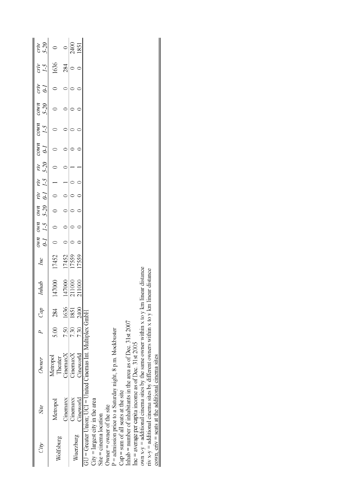| ÀÌ                                   | Site                                                             | Owner                                                                                  |      | Cap  | Inhab          | Inc   | $OMH$ $OMH$ | $0-1$ $1-5$ $5-20$ $0-1$ $1-5$ $5-20$<br><b>UMD</b> | $\widetilde{\mathcal{W}}$ | ŗη | YΙV | $_{\mathcal{C}^{\text{OVH}}}$<br>$\overline{\mathfrak{c}}$ | $\frac{1-5}{5}$<br>$_{\text{COMH}}$ | $5-20$<br>COWH | $c_{TV}$<br>$\widetilde{\theta}$ | $\zeta$ -1<br>crιν | $5 - 20$<br>cmv |
|--------------------------------------|------------------------------------------------------------------|----------------------------------------------------------------------------------------|------|------|----------------|-------|-------------|-----------------------------------------------------|---------------------------|----|-----|------------------------------------------------------------|-------------------------------------|----------------|----------------------------------|--------------------|-----------------|
| Wolfsburg                            | Metropol                                                         | Metropol<br>Theater                                                                    | 5.00 | 284  | 147000         | 17452 |             |                                                     |                           |    |     |                                                            |                                     |                |                                  | 1636               |                 |
|                                      | Cinemaxx                                                         | CinemaxX                                                                               | 7.50 | 1636 | 47000          | 17452 |             |                                                     |                           |    |     |                                                            |                                     |                |                                  | 284                |                 |
|                                      | Cinemaxx                                                         | CinemaxX                                                                               | 7.30 | 1851 | 211000         | 17559 |             |                                                     |                           |    |     |                                                            |                                     |                |                                  |                    | 2400            |
| Wuerzburg                            | Cineworld                                                        | Cineworld                                                                              | 7.30 | 2400 | 11000          | 7559  |             |                                                     |                           |    |     |                                                            |                                     |                |                                  |                    | 1851            |
|                                      |                                                                  | GU = Greater Union; UCI = United Cinemas Int. Multiplex GmbH                           |      |      |                |       |             |                                                     |                           |    |     |                                                            |                                     |                |                                  |                    |                 |
| $City = largest city$ in the area    |                                                                  |                                                                                        |      |      |                |       |             |                                                     |                           |    |     |                                                            |                                     |                |                                  |                    |                 |
| Site = cinema location               |                                                                  |                                                                                        |      |      |                |       |             |                                                     |                           |    |     |                                                            |                                     |                |                                  |                    |                 |
| Owner $=$ owner of the site          |                                                                  |                                                                                        |      |      |                |       |             |                                                     |                           |    |     |                                                            |                                     |                |                                  |                    |                 |
|                                      |                                                                  | P = admission price to a Saturday night, 8 p.m. blockbuster                            |      |      |                |       |             |                                                     |                           |    |     |                                                            |                                     |                |                                  |                    |                 |
| $Cap = sum of all seats at the site$ |                                                                  |                                                                                        |      |      |                |       |             |                                                     |                           |    |     |                                                            |                                     |                |                                  |                    |                 |
|                                      |                                                                  | Inhab = number of inhabitants in the area as of Dec. $31st$ 2007                       |      |      |                |       |             |                                                     |                           |    |     |                                                            |                                     |                |                                  |                    |                 |
|                                      |                                                                  | Inc = average per capita income as of Dec. $31st$ 2005                                 |      |      |                |       |             |                                                     |                           |    |     |                                                            |                                     |                |                                  |                    |                 |
|                                      |                                                                  | own $x-y$ = additional cinema sites by the same owner within x to y km linear distance |      |      |                |       |             |                                                     |                           |    |     |                                                            |                                     |                |                                  |                    |                 |
|                                      |                                                                  | riv $x-y$ = additional cinema sites by different owners within $x$ to $y$ km           |      |      | Imear distance |       |             |                                                     |                           |    |     |                                                            |                                     |                |                                  |                    |                 |
|                                      | cown, $\text{cmv} = \text{seats}$ at the additional cinema sites |                                                                                        |      |      |                |       |             |                                                     |                           |    |     |                                                            |                                     |                |                                  |                    |                 |